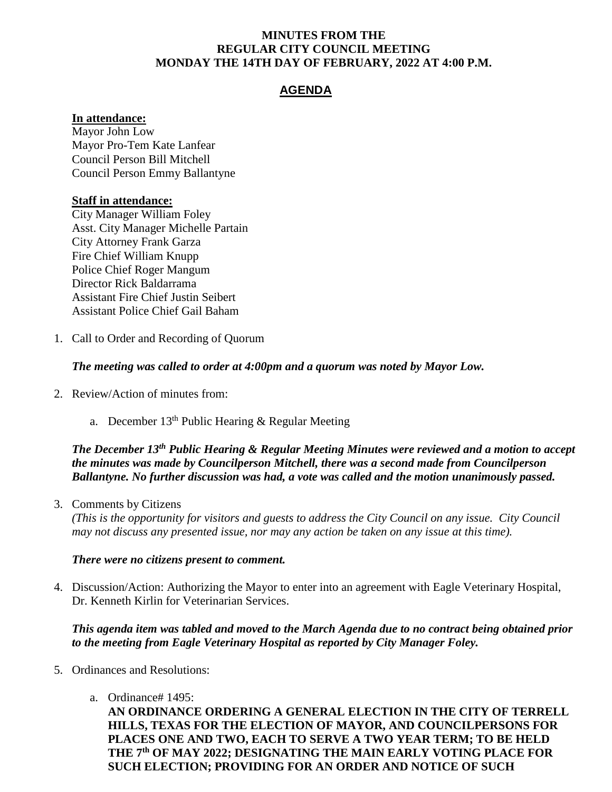#### **MINUTES FROM THE REGULAR CITY COUNCIL MEETING MONDAY THE 14TH DAY OF FEBRUARY, 2022 AT 4:00 P.M.**

# **AGENDA**

### **In attendance:**

Mayor John Low Mayor Pro-Tem Kate Lanfear Council Person Bill Mitchell Council Person Emmy Ballantyne

### **Staff in attendance:**

City Manager William Foley Asst. City Manager Michelle Partain City Attorney Frank Garza Fire Chief William Knupp Police Chief Roger Mangum Director Rick Baldarrama Assistant Fire Chief Justin Seibert Assistant Police Chief Gail Baham

1. Call to Order and Recording of Quorum

## *The meeting was called to order at 4:00pm and a quorum was noted by Mayor Low.*

- 2. Review/Action of minutes from:
	- a. December  $13<sup>th</sup>$  Public Hearing & Regular Meeting

# *The December 13th Public Hearing & Regular Meeting Minutes were reviewed and a motion to accept the minutes was made by Councilperson Mitchell, there was a second made from Councilperson Ballantyne. No further discussion was had, a vote was called and the motion unanimously passed.*

3. Comments by Citizens

*(This is the opportunity for visitors and guests to address the City Council on any issue. City Council may not discuss any presented issue, nor may any action be taken on any issue at this time).*

### *There were no citizens present to comment.*

4. Discussion/Action: Authorizing the Mayor to enter into an agreement with Eagle Veterinary Hospital, Dr. Kenneth Kirlin for Veterinarian Services.

## *This agenda item was tabled and moved to the March Agenda due to no contract being obtained prior to the meeting from Eagle Veterinary Hospital as reported by City Manager Foley.*

- 5. Ordinances and Resolutions:
	- a. Ordinance# 1495:

**AN ORDINANCE ORDERING A GENERAL ELECTION IN THE CITY OF TERRELL HILLS, TEXAS FOR THE ELECTION OF MAYOR, AND COUNCILPERSONS FOR PLACES ONE AND TWO, EACH TO SERVE A TWO YEAR TERM; TO BE HELD THE 7th OF MAY 2022; DESIGNATING THE MAIN EARLY VOTING PLACE FOR SUCH ELECTION; PROVIDING FOR AN ORDER AND NOTICE OF SUCH**